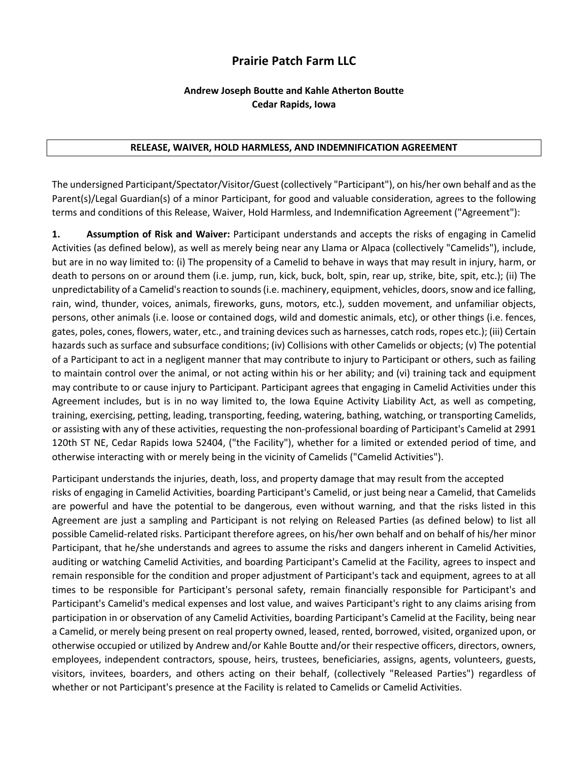# **Prairie Patch Farm LLC**

## **Andrew Joseph Boutte and Kahle Atherton Boutte Cedar Rapids, Iowa**

#### **RELEASE, WAIVER, HOLD HARMLESS, AND INDEMNIFICATION AGREEMENT**

The undersigned Participant/Spectator/Visitor/Guest (collectively "Participant"), on his/her own behalf and as the Parent(s)/Legal Guardian(s) of a minor Participant, for good and valuable consideration, agrees to the following terms and conditions of this Release, Waiver, Hold Harmless, and Indemnification Agreement ("Agreement"):

**1. Assumption of Risk and Waiver:** Participant understands and accepts the risks of engaging in Camelid Activities (as defined below), as well as merely being near any Llama or Alpaca (collectively "Camelids"), include, but are in no way limited to: (i) The propensity of a Camelid to behave in ways that may result in injury, harm, or death to persons on or around them (i.e. jump, run, kick, buck, bolt, spin, rear up, strike, bite, spit, etc.); (ii) The unpredictability of a Camelid's reaction to sounds (i.e. machinery, equipment, vehicles, doors, snow and ice falling, rain, wind, thunder, voices, animals, fireworks, guns, motors, etc.), sudden movement, and unfamiliar objects, persons, other animals (i.e. loose or contained dogs, wild and domestic animals, etc), or other things (i.e. fences, gates, poles, cones, flowers, water, etc., and training devices such as harnesses, catch rods, ropes etc.); (iii) Certain hazards such as surface and subsurface conditions; (iv) Collisions with other Camelids or objects; (v) The potential of a Participant to act in a negligent manner that may contribute to injury to Participant or others, such as failing to maintain control over the animal, or not acting within his or her ability; and (vi) training tack and equipment may contribute to or cause injury to Participant. Participant agrees that engaging in Camelid Activities under this Agreement includes, but is in no way limited to, the Iowa Equine Activity Liability Act, as well as competing, training, exercising, petting, leading, transporting, feeding, watering, bathing, watching, or transporting Camelids, or assisting with any of these activities, requesting the non-professional boarding of Participant's Camelid at 2991 120th ST NE, Cedar Rapids Iowa 52404, ("the Facility"), whether for a limited or extended period of time, and otherwise interacting with or merely being in the vicinity of Camelids ("Camelid Activities").

Participant understands the injuries, death, loss, and property damage that may result from the accepted risks of engaging in Camelid Activities, boarding Participant's Camelid, or just being near a Camelid, that Camelids are powerful and have the potential to be dangerous, even without warning, and that the risks listed in this Agreement are just a sampling and Participant is not relying on Released Parties (as defined below) to list all possible Camelid-related risks. Participant therefore agrees, on his/her own behalf and on behalf of his/her minor Participant, that he/she understands and agrees to assume the risks and dangers inherent in Camelid Activities, auditing or watching Camelid Activities, and boarding Participant's Camelid at the Facility, agrees to inspect and remain responsible for the condition and proper adjustment of Participant's tack and equipment, agrees to at all times to be responsible for Participant's personal safety, remain financially responsible for Participant's and Participant's Camelid's medical expenses and lost value, and waives Participant's right to any claims arising from participation in or observation of any Camelid Activities, boarding Participant's Camelid at the Facility, being near a Camelid, or merely being present on real property owned, leased, rented, borrowed, visited, organized upon, or otherwise occupied or utilized by Andrew and/or Kahle Boutte and/or their respective officers, directors, owners, employees, independent contractors, spouse, heirs, trustees, beneficiaries, assigns, agents, volunteers, guests, visitors, invitees, boarders, and others acting on their behalf, (collectively "Released Parties") regardless of whether or not Participant's presence at the Facility is related to Camelids or Camelid Activities.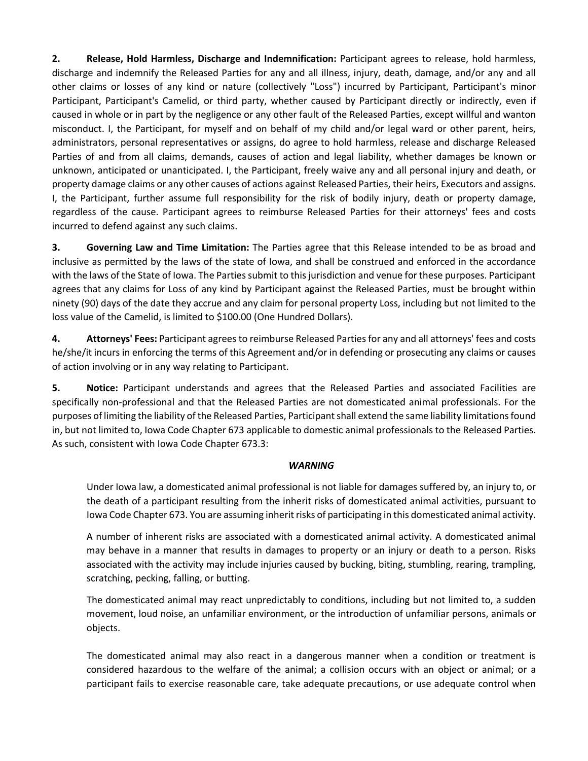**2. Release, Hold Harmless, Discharge and Indemnification:** Participant agrees to release, hold harmless, discharge and indemnify the Released Parties for any and all illness, injury, death, damage, and/or any and all other claims or losses of any kind or nature (collectively "Loss") incurred by Participant, Participant's minor Participant, Participant's Camelid, or third party, whether caused by Participant directly or indirectly, even if caused in whole or in part by the negligence or any other fault of the Released Parties, except willful and wanton misconduct. I, the Participant, for myself and on behalf of my child and/or legal ward or other parent, heirs, administrators, personal representatives or assigns, do agree to hold harmless, release and discharge Released Parties of and from all claims, demands, causes of action and legal liability, whether damages be known or unknown, anticipated or unanticipated. I, the Participant, freely waive any and all personal injury and death, or property damage claims or any other causes of actions against Released Parties, their heirs, Executors and assigns. I, the Participant, further assume full responsibility for the risk of bodily injury, death or property damage, regardless of the cause. Participant agrees to reimburse Released Parties for their attorneys' fees and costs incurred to defend against any such claims.

**3. Governing Law and Time Limitation:** The Parties agree that this Release intended to be as broad and inclusive as permitted by the laws of the state of Iowa, and shall be construed and enforced in the accordance with the laws of the State of Iowa. The Parties submit to this jurisdiction and venue for these purposes. Participant agrees that any claims for Loss of any kind by Participant against the Released Parties, must be brought within ninety (90) days of the date they accrue and any claim for personal property Loss, including but not limited to the loss value of the Camelid, is limited to \$100.00 (One Hundred Dollars).

**4. Attorneys' Fees:** Participant agrees to reimburse Released Parties for any and all attorneys' fees and costs he/she/it incurs in enforcing the terms of this Agreement and/or in defending or prosecuting any claims or causes of action involving or in any way relating to Participant.

**5. Notice:** Participant understands and agrees that the Released Parties and associated Facilities are specifically non-professional and that the Released Parties are not domesticated animal professionals. For the purposes of limiting the liability of the Released Parties, Participant shall extend the same liability limitations found in, but not limited to, Iowa Code Chapter 673 applicable to domestic animal professionals to the Released Parties. As such, consistent with Iowa Code Chapter 673.3:

## *WARNING*

Under Iowa law, a domesticated animal professional is not liable for damages suffered by, an injury to, or the death of a participant resulting from the inherit risks of domesticated animal activities, pursuant to Iowa Code Chapter 673. You are assuming inherit risks of participating in this domesticated animal activity.

A number of inherent risks are associated with a domesticated animal activity. A domesticated animal may behave in a manner that results in damages to property or an injury or death to a person. Risks associated with the activity may include injuries caused by bucking, biting, stumbling, rearing, trampling, scratching, pecking, falling, or butting.

The domesticated animal may react unpredictably to conditions, including but not limited to, a sudden movement, loud noise, an unfamiliar environment, or the introduction of unfamiliar persons, animals or objects.

The domesticated animal may also react in a dangerous manner when a condition or treatment is considered hazardous to the welfare of the animal; a collision occurs with an object or animal; or a participant fails to exercise reasonable care, take adequate precautions, or use adequate control when